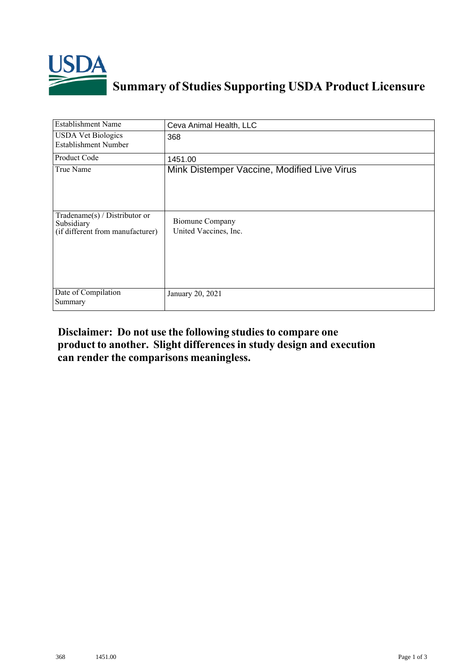

## **Summary of Studies Supporting USDA Product Licensure**

| <b>Establishment Name</b>                                                          | Ceva Animal Health, LLC                         |
|------------------------------------------------------------------------------------|-------------------------------------------------|
| <b>USDA Vet Biologics</b><br><b>Establishment Number</b>                           | 368                                             |
| Product Code                                                                       | 1451.00                                         |
| True Name                                                                          | Mink Distemper Vaccine, Modified Live Virus     |
| Tradename $(s)$ / Distributor or<br>Subsidiary<br>(if different from manufacturer) | <b>Biomune Company</b><br>United Vaccines, Inc. |
| Date of Compilation<br>Summary                                                     | January 20, 2021                                |

## **Disclaimer: Do not use the following studiesto compare one product to another. Slight differencesin study design and execution can render the comparisons meaningless.**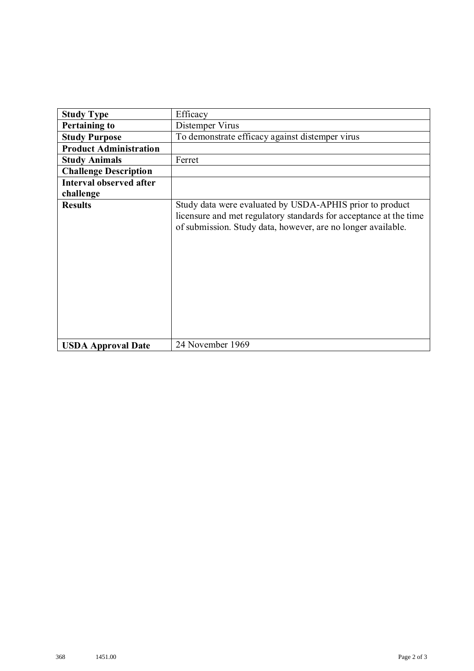| <b>Study Type</b>             | Efficacy                                                                                                                                                                                      |
|-------------------------------|-----------------------------------------------------------------------------------------------------------------------------------------------------------------------------------------------|
| <b>Pertaining to</b>          | Distemper Virus                                                                                                                                                                               |
| <b>Study Purpose</b>          | To demonstrate efficacy against distemper virus                                                                                                                                               |
| <b>Product Administration</b> |                                                                                                                                                                                               |
| <b>Study Animals</b>          | Ferret                                                                                                                                                                                        |
| <b>Challenge Description</b>  |                                                                                                                                                                                               |
| Interval observed after       |                                                                                                                                                                                               |
| challenge                     |                                                                                                                                                                                               |
| <b>Results</b>                | Study data were evaluated by USDA-APHIS prior to product<br>licensure and met regulatory standards for acceptance at the time<br>of submission. Study data, however, are no longer available. |
| <b>USDA Approval Date</b>     | 24 November 1969                                                                                                                                                                              |